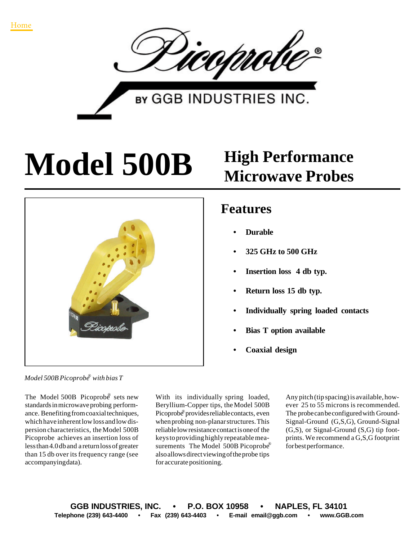

**BY GGB INDUSTRIES INC.** 

## **Model 500B High Performance**



## **Microwave Probes**

## **Features**

- **• Durable**
- **• 325 GHz to 500 GHz**
- **• Insertion loss 4 db typ.**
- **• Return loss 15 db typ.**
- **• Individually spring loaded contacts**
- **• Bias T option available**
- **• Coaxial design**

*Model 500B Picoprobe with bias T* ®

The Model 500B Picoprobe sets new standards in microwave probing performance. Benefiting from coaxial techniques, which have inherent low loss and low dispersion characteristics, the Model 500B Picoprobe achieves an insertion loss of less than 4.0 db and a return loss of greater than 15 db over its frequency range (see accompanying data).

With its individually spring loaded, Beryllium-Copper tips, the Model 500B Picoprobe® provides reliable contacts, even when probing non-planar structures. This reliable low resistance contact is one of the keys to providing highly repeatable measurements The Model 500B Picoprobe® also allows direct viewing of the probe tips for accurate positioning.

Any pitch (tip spacing) is available, however 25 to 55 microns is recommended. The probe can be configured with Ground-Signal-Ground (G,S,G), Ground-Signal (G,S), or Signal-Ground (S,G) tip footprints. We recommend a G,S,G footprint for best performance.